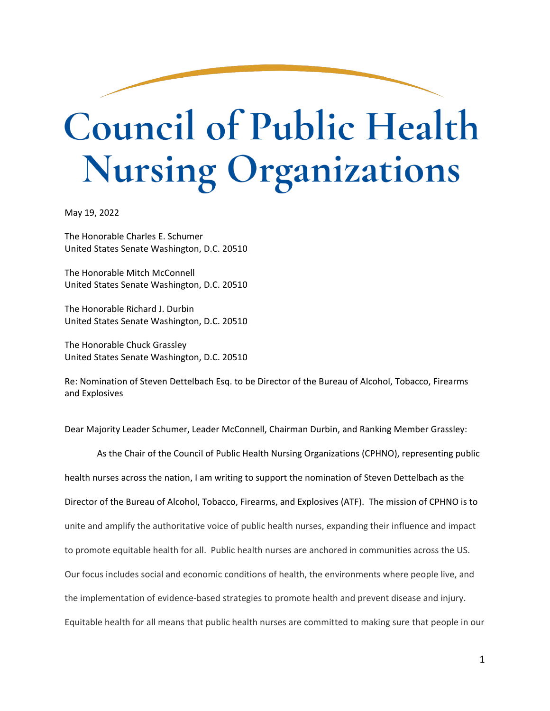## **Council of Public Health Nursing Organizations**

May 19, 2022

The Honorable Charles E. Schumer United States Senate Washington, D.C. 20510

The Honorable Mitch McConnell United States Senate Washington, D.C. 20510

The Honorable Richard J. Durbin United States Senate Washington, D.C. 20510

The Honorable Chuck Grassley United States Senate Washington, D.C. 20510

Re: Nomination of Steven Dettelbach Esq. to be Director of the Bureau of Alcohol, Tobacco, Firearms and Explosives

Dear Majority Leader Schumer, Leader McConnell, Chairman Durbin, and Ranking Member Grassley:

As the Chair of the Council of Public Health Nursing Organizations (CPHNO), representing public health nurses across the nation, I am writing to support the nomination of Steven Dettelbach as the Director of the Bureau of Alcohol, Tobacco, Firearms, and Explosives (ATF). The mission of CPHNO is to unite and amplify the authoritative voice of public health nurses, expanding their influence and impact to promote equitable health for all. Public health nurses are anchored in communities across the US. Our focus includes social and economic conditions of health, the environments where people live, and the implementation of evidence-based strategies to promote health and prevent disease and injury. Equitable health for all means that public health nurses are committed to making sure that people in our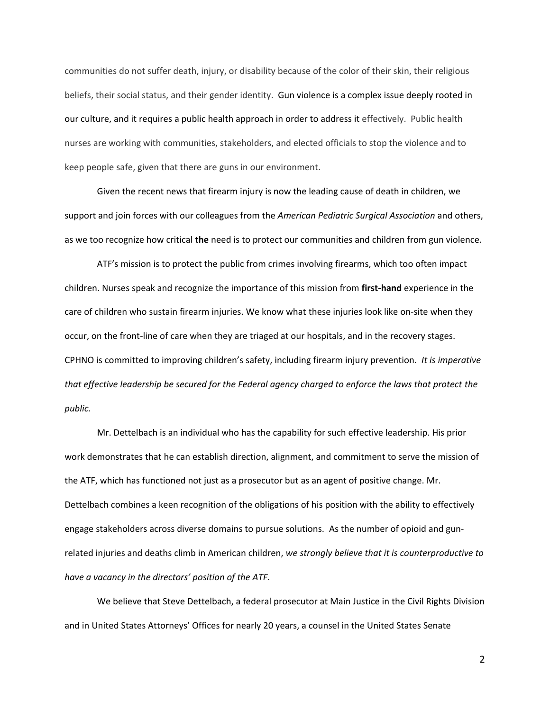communities do not suffer death, injury, or disability because of the color of their skin, their religious beliefs, their social status, and their gender identity. Gun violence is a complex issue deeply rooted in our culture, and it requires a public health approach in order to address it effectively. Public health nurses are working with communities, stakeholders, and elected officials to stop the violence and to keep people safe, given that there are guns in our environment.

Given the recent news that firearm injury is now the leading cause of death in children, we support and join forces with our colleagues from the *American Pediatric Surgical Association* and others, as we too recognize how critical **the** need is to protect our communities and children from gun violence.

ATF's mission is to protect the public from crimes involving firearms, which too often impact children. Nurses speak and recognize the importance of this mission from **first-hand** experience in the care of children who sustain firearm injuries. We know what these injuries look like on-site when they occur, on the front-line of care when they are triaged at our hospitals, and in the recovery stages. CPHNO is committed to improving children's safety, including firearm injury prevention. *It is imperative that effective leadership be secured for the Federal agency charged to enforce the laws that protect the public.* 

Mr. Dettelbach is an individual who has the capability for such effective leadership. His prior work demonstrates that he can establish direction, alignment, and commitment to serve the mission of the ATF, which has functioned not just as a prosecutor but as an agent of positive change. Mr. Dettelbach combines a keen recognition of the obligations of his position with the ability to effectively engage stakeholders across diverse domains to pursue solutions. As the number of opioid and gunrelated injuries and deaths climb in American children, *we strongly believe that it is counterproductive to have a vacancy in the directors' position of the ATF.*

We believe that Steve Dettelbach, a federal prosecutor at Main Justice in the Civil Rights Division and in United States Attorneys' Offices for nearly 20 years, a counsel in the United States Senate

2